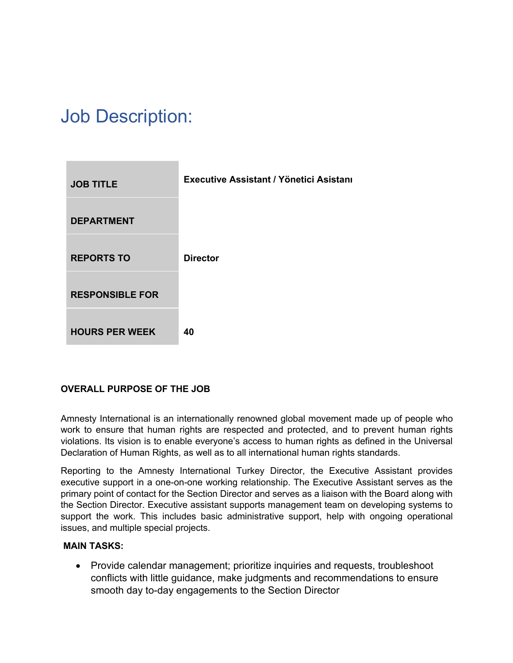# Job Description:



### **OVERALL PURPOSE OF THE JOB**

Amnesty International is an internationally renowned global movement made up of people who work to ensure that human rights are respected and protected, and to prevent human rights violations. Its vision is to enable everyone's access to human rights as defined in the Universal Declaration of Human Rights, as well as to all international human rights standards.

Reporting to the Amnesty International Turkey Director, the Executive Assistant provides executive support in a one-on-one working relationship. The Executive Assistant serves as the primary point of contact for the Section Director and serves as a liaison with the Board along with the Section Director. Executive assistant supports management team on developing systems to support the work. This includes basic administrative support, help with ongoing operational issues, and multiple special projects.

#### **MAIN TASKS:**

• Provide calendar management; prioritize inquiries and requests, troubleshoot conflicts with little guidance, make judgments and recommendations to ensure smooth day to-day engagements to the Section Director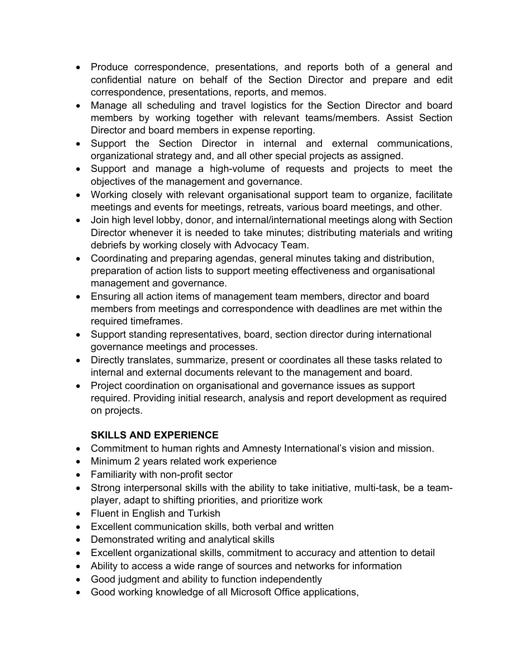- Produce correspondence, presentations, and reports both of a general and confidential nature on behalf of the Section Director and prepare and edit correspondence, presentations, reports, and memos.
- Manage all scheduling and travel logistics for the Section Director and board members by working together with relevant teams/members. Assist Section Director and board members in expense reporting.
- Support the Section Director in internal and external communications, organizational strategy and, and all other special projects as assigned.
- Support and manage a high-volume of requests and projects to meet the objectives of the management and governance.
- Working closely with relevant organisational support team to organize, facilitate meetings and events for meetings, retreats, various board meetings, and other.
- Join high level lobby, donor, and internal/international meetings along with Section Director whenever it is needed to take minutes; distributing materials and writing debriefs by working closely with Advocacy Team.
- Coordinating and preparing agendas, general minutes taking and distribution, preparation of action lists to support meeting effectiveness and organisational management and governance.
- Ensuring all action items of management team members, director and board members from meetings and correspondence with deadlines are met within the required timeframes.
- Support standing representatives, board, section director during international governance meetings and processes.
- Directly translates, summarize, present or coordinates all these tasks related to internal and external documents relevant to the management and board.
- Project coordination on organisational and governance issues as support required. Providing initial research, analysis and report development as required on projects.

## **SKILLS AND EXPERIENCE**

- Commitment to human rights and Amnesty International's vision and mission.
- Minimum 2 years related work experience
- Familiarity with non-profit sector
- Strong interpersonal skills with the ability to take initiative, multi-task, be a teamplayer, adapt to shifting priorities, and prioritize work
- Fluent in English and Turkish
- Excellent communication skills, both verbal and written
- Demonstrated writing and analytical skills
- Excellent organizational skills, commitment to accuracy and attention to detail
- Ability to access a wide range of sources and networks for information
- Good judgment and ability to function independently
- Good working knowledge of all Microsoft Office applications,